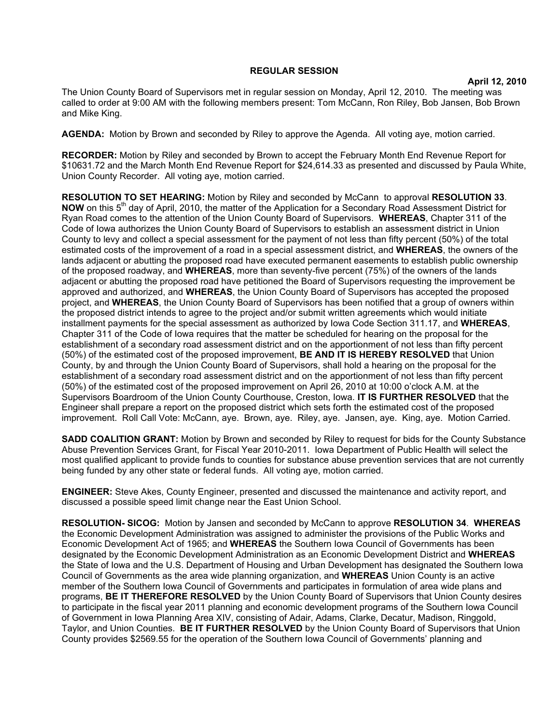## **REGULAR SESSION**

**April 12, 2010**

The Union County Board of Supervisors met in regular session on Monday, April 12, 2010. The meeting was called to order at 9:00 AM with the following members present: Tom McCann, Ron Riley, Bob Jansen, Bob Brown and Mike King.

**AGENDA:** Motion by Brown and seconded by Riley to approve the Agenda. All voting aye, motion carried.

**RECORDER:** Motion by Riley and seconded by Brown to accept the February Month End Revenue Report for \$10631.72 and the March Month End Revenue Report for \$24,614.33 as presented and discussed by Paula White, Union County Recorder. All voting aye, motion carried.

**RESOLUTION TO SET HEARING:** Motion by Riley and seconded by McCann to approval **RESOLUTION 33**. **NOW** on this 5<sup>th</sup> day of April, 2010, the matter of the Application for a Secondary Road Assessment District for Ryan Road comes to the attention of the Union County Board of Supervisors. **WHEREAS**, Chapter 311 of the Code of Iowa authorizes the Union County Board of Supervisors to establish an assessment district in Union County to levy and collect a special assessment for the payment of not less than fifty percent (50%) of the total estimated costs of the improvement of a road in a special assessment district, and **WHEREAS**, the owners of the lands adjacent or abutting the proposed road have executed permanent easements to establish public ownership of the proposed roadway, and **WHEREAS**, more than seventy-five percent (75%) of the owners of the lands adjacent or abutting the proposed road have petitioned the Board of Supervisors requesting the improvement be approved and authorized, and **WHEREAS**, the Union County Board of Supervisors has accepted the proposed project, and **WHEREAS**, the Union County Board of Supervisors has been notified that a group of owners within the proposed district intends to agree to the project and/or submit written agreements which would initiate installment payments for the special assessment as authorized by Iowa Code Section 311.17, and **WHEREAS**, Chapter 311 of the Code of Iowa requires that the matter be scheduled for hearing on the proposal for the establishment of a secondary road assessment district and on the apportionment of not less than fifty percent (50%) of the estimated cost of the proposed improvement, **BE AND IT IS HEREBY RESOLVED** that Union County, by and through the Union County Board of Supervisors, shall hold a hearing on the proposal for the establishment of a secondary road assessment district and on the apportionment of not less than fifty percent (50%) of the estimated cost of the proposed improvement on April 26, 2010 at 10:00 o'clock A.M. at the Supervisors Boardroom of the Union County Courthouse, Creston, Iowa. **IT IS FURTHER RESOLVED** that the Engineer shall prepare a report on the proposed district which sets forth the estimated cost of the proposed improvement. Roll Call Vote: McCann, aye. Brown, aye. Riley, aye. Jansen, aye. King, aye. Motion Carried.

**SADD COALITION GRANT:** Motion by Brown and seconded by Riley to request for bids for the County Substance Abuse Prevention Services Grant, for Fiscal Year 2010-2011. Iowa Department of Public Health will select the most qualified applicant to provide funds to counties for substance abuse prevention services that are not currently being funded by any other state or federal funds. All voting aye, motion carried.

**ENGINEER:** Steve Akes, County Engineer, presented and discussed the maintenance and activity report, and discussed a possible speed limit change near the East Union School.

**RESOLUTION- SICOG:** Motion by Jansen and seconded by McCann to approve **RESOLUTION 34**. **WHEREAS** the Economic Development Administration was assigned to administer the provisions of the Public Works and Economic Development Act of 1965; and **WHEREAS** the Southern Iowa Council of Governments has been designated by the Economic Development Administration as an Economic Development District and **WHEREAS** the State of Iowa and the U.S. Department of Housing and Urban Development has designated the Southern Iowa Council of Governments as the area wide planning organization, and **WHEREAS** Union County is an active member of the Southern Iowa Council of Governments and participates in formulation of area wide plans and programs, **BE IT THEREFORE RESOLVED** by the Union County Board of Supervisors that Union County desires to participate in the fiscal year 2011 planning and economic development programs of the Southern Iowa Council of Government in Iowa Planning Area XIV, consisting of Adair, Adams, Clarke, Decatur, Madison, Ringgold, Taylor, and Union Counties. **BE IT FURTHER RESOLVED** by the Union County Board of Supervisors that Union County provides \$2569.55 for the operation of the Southern Iowa Council of Governments' planning and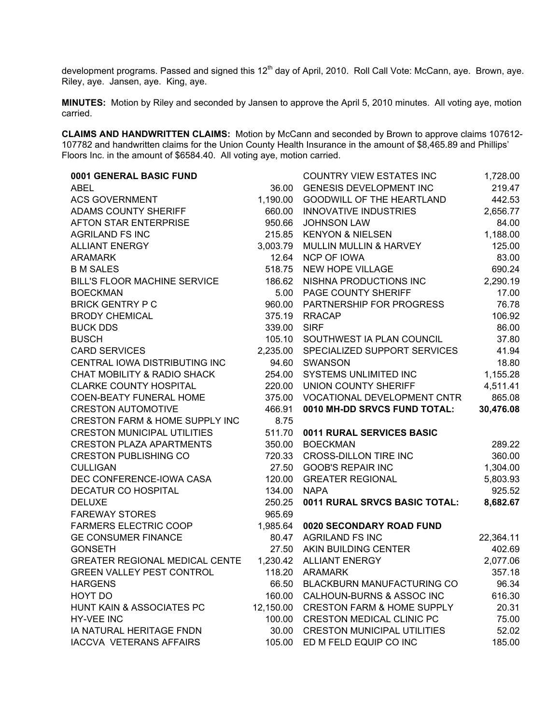development programs. Passed and signed this 12<sup>th</sup> day of April, 2010. Roll Call Vote: McCann, aye. Brown, aye. Riley, aye. Jansen, aye. King, aye.

**MINUTES:** Motion by Riley and seconded by Jansen to approve the April 5, 2010 minutes. All voting aye, motion carried.

**CLAIMS AND HANDWRITTEN CLAIMS:** Motion by McCann and seconded by Brown to approve claims 107612- 107782 and handwritten claims for the Union County Health Insurance in the amount of \$8,465.89 and Phillips' Floors Inc. in the amount of \$6584.40. All voting aye, motion carried.

| 0001 GENERAL BASIC FUND                   |           | <b>COUNTRY VIEW ESTATES INC</b>       | 1,728.00  |
|-------------------------------------------|-----------|---------------------------------------|-----------|
| <b>ABEL</b>                               | 36.00     | <b>GENESIS DEVELOPMENT INC</b>        | 219.47    |
| <b>ACS GOVERNMENT</b>                     | 1,190.00  | <b>GOODWILL OF THE HEARTLAND</b>      | 442.53    |
| ADAMS COUNTY SHERIFF                      | 660.00    | <b>INNOVATIVE INDUSTRIES</b>          | 2,656.77  |
| <b>AFTON STAR ENTERPRISE</b>              | 950.66    | <b>JOHNSON LAW</b>                    | 84.00     |
| <b>AGRILAND FS INC</b>                    | 215.85    | <b>KENYON &amp; NIELSEN</b>           | 1,188.00  |
| <b>ALLIANT ENERGY</b>                     | 3,003.79  | MULLIN MULLIN & HARVEY                | 125.00    |
| ARAMARK                                   | 12.64     | <b>NCP OF IOWA</b>                    | 83.00     |
| <b>B M SALES</b>                          | 518.75    | NEW HOPE VILLAGE                      | 690.24    |
| <b>BILL'S FLOOR MACHINE SERVICE</b>       | 186.62    | NISHNA PRODUCTIONS INC                | 2,290.19  |
| <b>BOECKMAN</b>                           | 5.00      | PAGE COUNTY SHERIFF                   | 17.00     |
| <b>BRICK GENTRY P C</b>                   | 960.00    | PARTNERSHIP FOR PROGRESS              | 76.78     |
| <b>BRODY CHEMICAL</b>                     | 375.19    | <b>RRACAP</b>                         | 106.92    |
| <b>BUCK DDS</b>                           | 339.00    | <b>SIRF</b>                           | 86.00     |
| <b>BUSCH</b>                              | 105.10    | SOUTHWEST IA PLAN COUNCIL             | 37.80     |
| <b>CARD SERVICES</b>                      | 2,235.00  | SPECIALIZED SUPPORT SERVICES          | 41.94     |
| CENTRAL IOWA DISTRIBUTING INC             | 94.60     | <b>SWANSON</b>                        | 18.80     |
| CHAT MOBILITY & RADIO SHACK               | 254.00    | <b>SYSTEMS UNLIMITED INC</b>          | 1,155.28  |
| <b>CLARKE COUNTY HOSPITAL</b>             | 220.00    | UNION COUNTY SHERIFF                  | 4,511.41  |
| COEN-BEATY FUNERAL HOME                   | 375.00    | VOCATIONAL DEVELOPMENT CNTR           | 865.08    |
| <b>CRESTON AUTOMOTIVE</b>                 | 466.91    | 0010 MH-DD SRVCS FUND TOTAL:          | 30,476.08 |
| <b>CRESTON FARM &amp; HOME SUPPLY INC</b> | 8.75      |                                       |           |
| <b>CRESTON MUNICIPAL UTILITIES</b>        | 511.70    | 0011 RURAL SERVICES BASIC             |           |
| <b>CRESTON PLAZA APARTMENTS</b>           | 350.00    | <b>BOECKMAN</b>                       | 289.22    |
| <b>CRESTON PUBLISHING CO</b>              | 720.33    | <b>CROSS-DILLON TIRE INC</b>          | 360.00    |
| <b>CULLIGAN</b>                           | 27.50     | <b>GOOB'S REPAIR INC</b>              | 1,304.00  |
| DEC CONFERENCE-IOWA CASA                  | 120.00    | <b>GREATER REGIONAL</b>               | 5,803.93  |
| DECATUR CO HOSPITAL                       | 134.00    | <b>NAPA</b>                           | 925.52    |
| <b>DELUXE</b>                             | 250.25    | 0011 RURAL SRVCS BASIC TOTAL:         | 8,682.67  |
| <b>FAREWAY STORES</b>                     | 965.69    |                                       |           |
| <b>FARMERS ELECTRIC COOP</b>              | 1,985.64  | 0020 SECONDARY ROAD FUND              |           |
| <b>GE CONSUMER FINANCE</b>                | 80.47     | <b>AGRILAND FS INC</b>                | 22,364.11 |
| <b>GONSETH</b>                            | 27.50     | AKIN BUILDING CENTER                  | 402.69    |
| <b>GREATER REGIONAL MEDICAL CENTE</b>     |           | 1,230.42 ALLIANT ENERGY               | 2,077.06  |
| <b>GREEN VALLEY PEST CONTROL</b>          |           | 118.20 ARAMARK                        | 357.18    |
| <b>HARGENS</b>                            | 66.50     | BLACKBURN MANUFACTURING CO            | 96.34     |
| HOYT DO                                   | 160.00    | CALHOUN-BURNS & ASSOC INC             | 616.30    |
| HUNT KAIN & ASSOCIATES PC                 | 12,150.00 | <b>CRESTON FARM &amp; HOME SUPPLY</b> | 20.31     |
| HY-VEE INC                                | 100.00    | <b>CRESTON MEDICAL CLINIC PC</b>      | 75.00     |
| IA NATURAL HERITAGE FNDN                  | 30.00     | <b>CRESTON MUNICIPAL UTILITIES</b>    | 52.02     |
| <b>IACCVA VETERANS AFFAIRS</b>            | 105.00    | ED M FELD EQUIP CO INC                | 185.00    |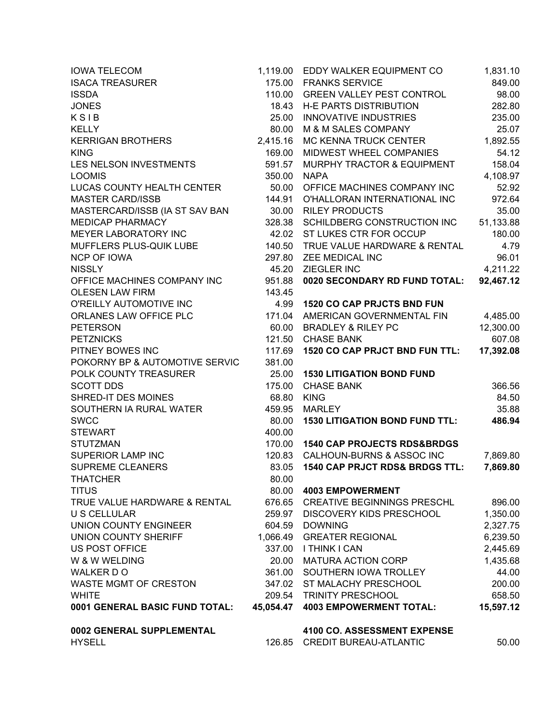| <b>IOWA TELECOM</b>               | 1,119.00  | EDDY WALKER EQUIPMENT CO                  | 1,831.10  |
|-----------------------------------|-----------|-------------------------------------------|-----------|
| <b>ISACA TREASURER</b>            | 175.00    | <b>FRANKS SERVICE</b>                     | 849.00    |
| <b>ISSDA</b>                      | 110.00    | <b>GREEN VALLEY PEST CONTROL</b>          | 98.00     |
| <b>JONES</b>                      | 18.43     | <b>H-E PARTS DISTRIBUTION</b>             | 282.80    |
| KSIB                              | 25.00     | <b>INNOVATIVE INDUSTRIES</b>              | 235.00    |
| <b>KELLY</b>                      | 80.00     | M & M SALES COMPANY                       | 25.07     |
| <b>KERRIGAN BROTHERS</b>          | 2,415.16  | MC KENNA TRUCK CENTER                     | 1,892.55  |
| <b>KING</b>                       | 169.00    | MIDWEST WHEEL COMPANIES                   | 54.12     |
| LES NELSON INVESTMENTS            | 591.57    | MURPHY TRACTOR & EQUIPMENT                | 158.04    |
| <b>LOOMIS</b>                     | 350.00    | <b>NAPA</b>                               | 4,108.97  |
| <b>LUCAS COUNTY HEALTH CENTER</b> | 50.00     | OFFICE MACHINES COMPANY INC               | 52.92     |
| <b>MASTER CARD/ISSB</b>           | 144.91    | O'HALLORAN INTERNATIONAL INC              | 972.64    |
| MASTERCARD/ISSB (IA ST SAV BAN    | 30.00     | <b>RILEY PRODUCTS</b>                     | 35.00     |
| <b>MEDICAP PHARMACY</b>           | 328.38    | SCHILDBERG CONSTRUCTION INC               | 51,133.88 |
| MEYER LABORATORY INC              | 42.02     | ST LUKES CTR FOR OCCUP                    | 180.00    |
| MUFFLERS PLUS-QUIK LUBE           | 140.50    | TRUE VALUE HARDWARE & RENTAL              | 4.79      |
| <b>NCP OF IOWA</b>                | 297.80    | ZEE MEDICAL INC                           | 96.01     |
| <b>NISSLY</b>                     | 45.20     | ZIEGLER INC                               | 4,211.22  |
| OFFICE MACHINES COMPANY INC       | 951.88    | 0020 SECONDARY RD FUND TOTAL:             | 92,467.12 |
| <b>OLESEN LAW FIRM</b>            | 143.45    |                                           |           |
| O'REILLY AUTOMOTIVE INC           | 4.99      | <b>1520 CO CAP PRJCTS BND FUN</b>         |           |
| ORLANES LAW OFFICE PLC            | 171.04    | AMERICAN GOVERNMENTAL FIN                 | 4,485.00  |
| <b>PETERSON</b>                   | 60.00     | <b>BRADLEY &amp; RILEY PC</b>             | 12,300.00 |
| <b>PETZNICKS</b>                  |           | 121.50 CHASE BANK                         | 607.08    |
| PITNEY BOWES INC                  | 117.69    | <b>1520 CO CAP PRJCT BND FUN TTL:</b>     | 17,392.08 |
| POKORNY BP & AUTOMOTIVE SERVIC    | 381.00    |                                           |           |
| POLK COUNTY TREASURER             | 25.00     | <b>1530 LITIGATION BOND FUND</b>          |           |
| <b>SCOTT DDS</b>                  | 175.00    | <b>CHASE BANK</b>                         | 366.56    |
| SHRED-IT DES MOINES               | 68.80     | <b>KING</b>                               | 84.50     |
| SOUTHERN IA RURAL WATER           | 459.95    | <b>MARLEY</b>                             | 35.88     |
| <b>SWCC</b>                       | 80.00     | <b>1530 LITIGATION BOND FUND TTL:</b>     | 486.94    |
| <b>STEWART</b>                    | 400.00    |                                           |           |
| <b>STUTZMAN</b>                   | 170.00    | <b>1540 CAP PROJECTS RDS&amp;BRDGS</b>    |           |
| SUPERIOR LAMP INC                 | 120.83    | CALHOUN-BURNS & ASSOC INC                 | 7,869.80  |
| <b>SUPREME CLEANERS</b>           | 83.05     | <b>1540 CAP PRJCT RDS&amp; BRDGS TTL:</b> | 7,869.80  |
| <b>THATCHER</b>                   | 80.00     |                                           |           |
| <b>TITUS</b>                      | 80.00     | <b>4003 EMPOWERMENT</b>                   |           |
| TRUE VALUE HARDWARE & RENTAL      | 676.65    | <b>CREATIVE BEGINNINGS PRESCHL</b>        | 896.00    |
| <b>U S CELLULAR</b>               | 259.97    | <b>DISCOVERY KIDS PRESCHOOL</b>           | 1,350.00  |
| <b>UNION COUNTY ENGINEER</b>      | 604.59    | <b>DOWNING</b>                            | 2,327.75  |
| <b>UNION COUNTY SHERIFF</b>       | 1,066.49  | <b>GREATER REGIONAL</b>                   | 6,239.50  |
| <b>US POST OFFICE</b>             | 337.00    | <b>I THINK I CAN</b>                      | 2,445.69  |
| W & W WELDING                     | 20.00     | <b>MATURA ACTION CORP</b>                 | 1,435.68  |
| WALKER DO                         | 361.00    | SOUTHERN IOWA TROLLEY                     | 44.00     |
| WASTE MGMT OF CRESTON             | 347.02    | ST MALACHY PRESCHOOL                      | 200.00    |
| <b>WHITE</b>                      |           | 209.54 TRINITY PRESCHOOL                  | 658.50    |
| 0001 GENERAL BASIC FUND TOTAL:    | 45,054.47 | <b>4003 EMPOWERMENT TOTAL:</b>            | 15,597.12 |
| 0002 GENERAL SUPPLEMENTAL         |           | 4100 CO. ASSESSMENT EXPENSE               |           |
| <b>HYSELL</b>                     | 126.85    | <b>CREDIT BUREAU-ATLANTIC</b>             | 50.00     |